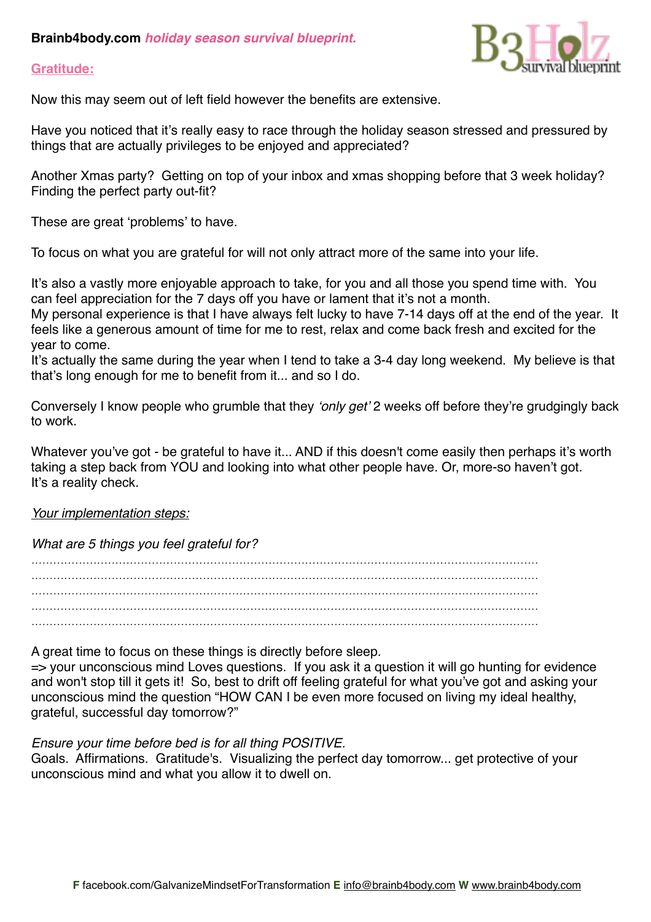# **Brainb4body.com** *holiday season survival blueprint.*

## **Gratitude:**



Now this may seem out of left field however the benefits are extensive.

Have you noticed that it's really easy to race through the holiday season stressed and pressured by things that are actually privileges to be enjoyed and appreciated?

Another Xmas party? Getting on top of your inbox and xmas shopping before that 3 week holiday? Finding the perfect party out-fit?

These are great ʻproblems' to have.

To focus on what you are grateful for will not only attract more of the same into your life.

It's also a vastly more enjoyable approach to take, for you and all those you spend time with. You can feel appreciation for the 7 days off you have or lament that it's not a month.

My personal experience is that I have always felt lucky to have 7-14 days off at the end of the year. It feels like a generous amount of time for me to rest, relax and come back fresh and excited for the year to come.

It's actually the same during the year when I tend to take a 3-4 day long weekend. My believe is that that's long enough for me to benefit from it... and so I do.

Conversely I know people who grumble that they ʻ*only get*' 2 weeks off before they're grudgingly back to work.

Whatever you've got - be grateful to have it... AND if this doesn't come easily then perhaps it's worth taking a step back from YOU and looking into what other people have. Or, more-so haven't got. It's a reality check.

#### *Your implementation steps:*

*What are 5 things you feel grateful for?*

*........................................................................................................................................... ........................................................................................................................................... ........................................................................................................................................... ...........................................................................................................................................*

A great time to focus on these things is directly before sleep.

=> your unconscious mind Loves questions. If you ask it a question it will go hunting for evidence and won't stop till it gets it! So, best to drift off feeling grateful for what you've got and asking your unconscious mind the question "HOW CAN I be even more focused on living my ideal healthy, grateful, successful day tomorrow?"

*Ensure your time before bed is for all thing POSITIVE.* 

Goals. Affirmations. Gratitude's. Visualizing the perfect day tomorrow... get protective of your unconscious mind and what you allow it to dwell on.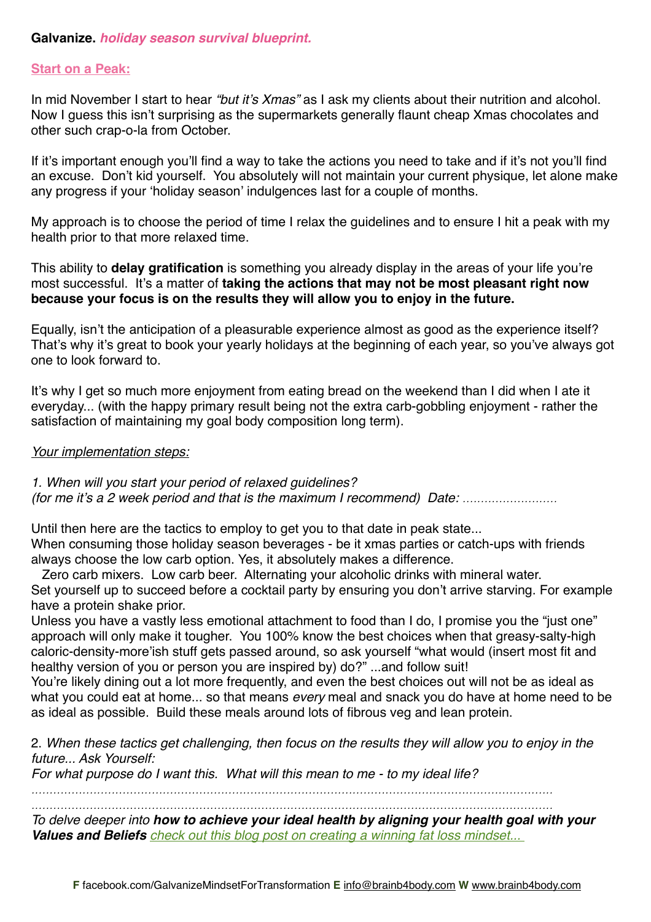## **Start on a Peak:**

In mid November I start to hear *"but it*'*s Xmas"* as I ask my clients about their nutrition and alcohol. Now I guess this isn't surprising as the supermarkets generally flaunt cheap Xmas chocolates and other such crap-o-la from October.

If it's important enough you'll find a way to take the actions you need to take and if it's not you'll find an excuse. Don't kid yourself. You absolutely will not maintain your current physique, let alone make any progress if your ʻholiday season' indulgences last for a couple of months.

My approach is to choose the period of time I relax the guidelines and to ensure I hit a peak with my health prior to that more relaxed time.

This ability to **delay gratification** is something you already display in the areas of your life you're most successful. It's a matter of **taking the actions that may not be most pleasant right now because your focus is on the results they will allow you to enjoy in the future.**

Equally, isn't the anticipation of a pleasurable experience almost as good as the experience itself? That's why it's great to book your yearly holidays at the beginning of each year, so you've always got one to look forward to.

It's why I get so much more enjoyment from eating bread on the weekend than I did when I ate it everyday... (with the happy primary result being not the extra carb-gobbling enjoyment - rather the satisfaction of maintaining my goal body composition long term).

#### *Your implementation steps:*

*1. When will you start your period of relaxed guidelines? (for me it*'*s a 2 week period and that is the maximum I recommend) Date: ..........................*

Until then here are the tactics to employ to get you to that date in peak state... When consuming those holiday season beverages - be it xmas parties or catch-ups with friends always choose the low carb option. Yes, it absolutely makes a difference.

 Zero carb mixers. Low carb beer. Alternating your alcoholic drinks with mineral water. Set yourself up to succeed before a cocktail party by ensuring you don't arrive starving. For example have a protein shake prior.

Unless you have a vastly less emotional attachment to food than I do, I promise you the "just one" approach will only make it tougher. You 100% know the best choices when that greasy-salty-high caloric-density-more'ish stuff gets passed around, so ask yourself "what would (insert most fit and healthy version of you or person you are inspired by) do?" ...and follow suit!

You're likely dining out a lot more frequently, and even the best choices out will not be as ideal as what you could eat at home... so that means *every* meal and snack you do have at home need to be as ideal as possible. Build these meals around lots of fibrous veg and lean protein.

2. *When these tactics get challenging, then focus on the results they will allow you to enjoy in the future... Ask Yourself:*

*For what purpose do I want this. What will this mean to me - to my ideal life?*

*............................................................................................................................................... ...............................................................................................................................................*

*To delve deeper into how to achieve your ideal health by aligning your health goal with your Values and Beliefs [check out this blog post on creating a winning fat loss mindset...](http://www.brainb4body.com/creating-the-best-mindset-4-long-term-fat-loss-health-where-to-start/)*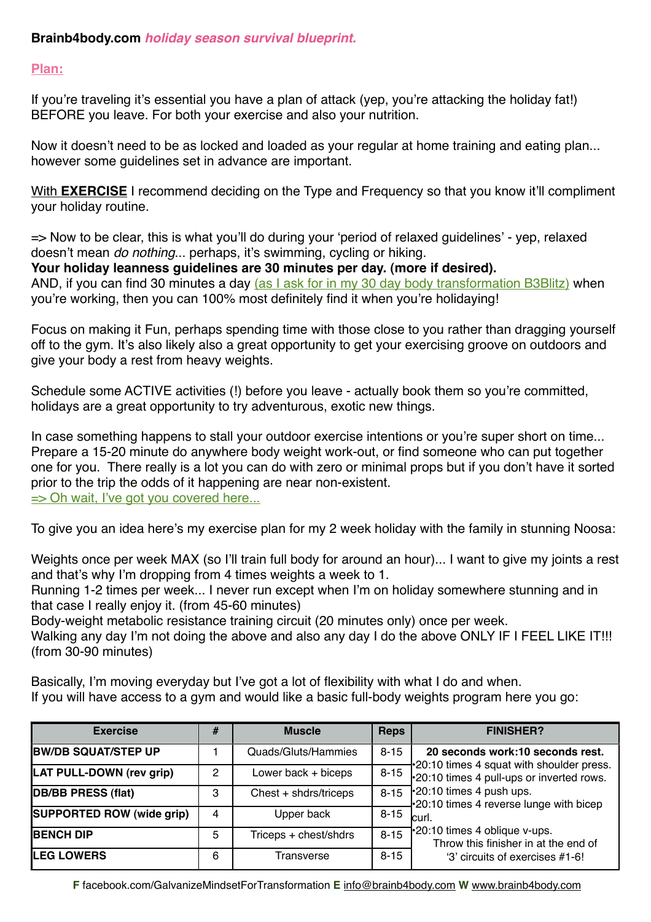# **Plan:**

| Brainb4body.com holiday season survival blueprint.                                                                                                                                                                                                                                                                                                                                                                                                   |                |                       |             |                                                                                                                                                                                                                                                                                                            |
|------------------------------------------------------------------------------------------------------------------------------------------------------------------------------------------------------------------------------------------------------------------------------------------------------------------------------------------------------------------------------------------------------------------------------------------------------|----------------|-----------------------|-------------|------------------------------------------------------------------------------------------------------------------------------------------------------------------------------------------------------------------------------------------------------------------------------------------------------------|
| Plan:                                                                                                                                                                                                                                                                                                                                                                                                                                                |                |                       |             |                                                                                                                                                                                                                                                                                                            |
| If you're traveling it's essential you have a plan of attack (yep, you're attacking the holiday fat!)<br>BEFORE you leave. For both your exercise and also your nutrition.                                                                                                                                                                                                                                                                           |                |                       |             |                                                                                                                                                                                                                                                                                                            |
| Now it doesn't need to be as locked and loaded as your regular at home training and eating plan<br>however some guidelines set in advance are important.                                                                                                                                                                                                                                                                                             |                |                       |             |                                                                                                                                                                                                                                                                                                            |
| With <b>EXERCISE</b> I recommend deciding on the Type and Frequency so that you know it'll compliment<br>your holiday routine.                                                                                                                                                                                                                                                                                                                       |                |                       |             |                                                                                                                                                                                                                                                                                                            |
| => Now to be clear, this is what you'll do during your 'period of relaxed guidelines' - yep, relaxed<br>doesn't mean do nothing perhaps, it's swimming, cycling or hiking.<br>Your holiday leanness guidelines are 30 minutes per day. (more if desired).<br>AND, if you can find 30 minutes a day (as I ask for in my 30 day body transformation B3Blitz) when<br>you're working, then you can 100% most definitely find it when you're holidaying! |                |                       |             |                                                                                                                                                                                                                                                                                                            |
| Focus on making it Fun, perhaps spending time with those close to you rather than dragging yourself<br>off to the gym. It's also likely also a great opportunity to get your exercising groove on outdoors and<br>give your body a rest from heavy weights.                                                                                                                                                                                          |                |                       |             |                                                                                                                                                                                                                                                                                                            |
| Schedule some ACTIVE activities (!) before you leave - actually book them so you're committed,<br>holidays are a great opportunity to try adventurous, exotic new things.                                                                                                                                                                                                                                                                            |                |                       |             |                                                                                                                                                                                                                                                                                                            |
| In case something happens to stall your outdoor exercise intentions or you're super short on time<br>Prepare a 15-20 minute do anywhere body weight work-out, or find someone who can put together<br>one for you. There really is a lot you can do with zero or minimal props but if you don't have it sorted<br>prior to the trip the odds of it happening are near non-existent.<br>=> Oh wait, I've got you covered here                         |                |                       |             |                                                                                                                                                                                                                                                                                                            |
| To give you an idea here's my exercise plan for my 2 week holiday with the family in stunning Noosa:                                                                                                                                                                                                                                                                                                                                                 |                |                       |             |                                                                                                                                                                                                                                                                                                            |
| and that's why I'm dropping from 4 times weights a week to 1.<br>that case I really enjoy it. (from 45-60 minutes)<br>Body-weight metabolic resistance training circuit (20 minutes only) once per week.<br>(from 30-90 minutes)                                                                                                                                                                                                                     |                |                       |             | Weights once per week MAX (so I'll train full body for around an hour) I want to give my joints a rest<br>Running 1-2 times per week I never run except when I'm on holiday somewhere stunning and in<br>Walking any day I'm not doing the above and also any day I do the above ONLY IF I FEEL LIKE IT!!! |
| Basically, I'm moving everyday but I've got a lot of flexibility with what I do and when.<br>If you will have access to a gym and would like a basic full-body weights program here you go:                                                                                                                                                                                                                                                          |                |                       |             |                                                                                                                                                                                                                                                                                                            |
| <b>Exercise</b>                                                                                                                                                                                                                                                                                                                                                                                                                                      | #              | <b>Muscle</b>         | <b>Reps</b> | <b>FINISHER?</b>                                                                                                                                                                                                                                                                                           |
| <b>BW/DB SQUAT/STEP UP</b>                                                                                                                                                                                                                                                                                                                                                                                                                           | $\mathbf{1}$   | Quads/Gluts/Hammies   | $8 - 15$    | 20 seconds work:10 seconds rest.                                                                                                                                                                                                                                                                           |
| LAT PULL-DOWN (rev grip)                                                                                                                                                                                                                                                                                                                                                                                                                             | $\overline{c}$ | Lower back + biceps   | $8 - 15$    | 20:10 times 4 squat with shoulder press.<br>*20:10 times 4 pull-ups or inverted rows.                                                                                                                                                                                                                      |
| <b>DB/BB PRESS (flat)</b>                                                                                                                                                                                                                                                                                                                                                                                                                            | 3              | Chest + shdrs/triceps | $8 - 15$    | *20:10 times 4 push ups.<br>.20:10 times 4 reverse lunge with bicep                                                                                                                                                                                                                                        |
| SUPPORTED ROW (wide grip)                                                                                                                                                                                                                                                                                                                                                                                                                            | 4              | Upper back            | $8 - 15$    | curl.                                                                                                                                                                                                                                                                                                      |
| <b>BENCH DIP</b>                                                                                                                                                                                                                                                                                                                                                                                                                                     | 5              | Triceps + chest/shdrs | $8 - 15$    | *20:10 times 4 oblique v-ups.<br>Throw this finisher in at the end of                                                                                                                                                                                                                                      |
| <b>LEG LOWERS</b>                                                                                                                                                                                                                                                                                                                                                                                                                                    | 6              | Transverse            | $8 - 15$    | '3' circuits of exercises #1-6!                                                                                                                                                                                                                                                                            |

**F** [facebook.com/GalvanizeMindsetForTransformation](http://www.facebook.com/GalvanizeMindsetForTransformation) **E** [info@brainb4body.com](mailto:info@brainb4body.com) **W** [www.brainb4body.com](http://www.brainb4body.com)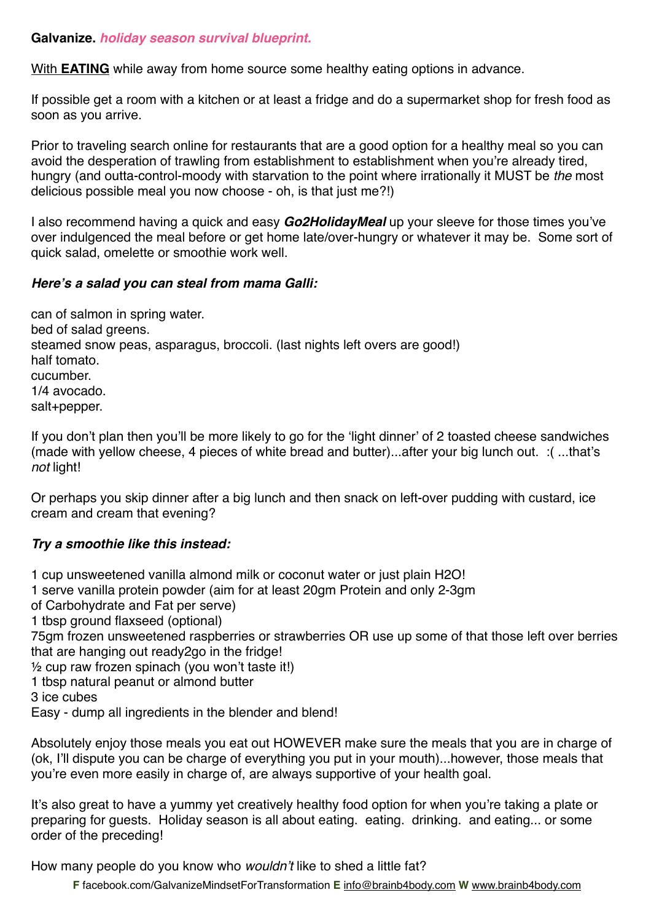With **EATING** while away from home source some healthy eating options in advance.

If possible get a room with a kitchen or at least a fridge and do a supermarket shop for fresh food as soon as you arrive.

Prior to traveling search online for restaurants that are a good option for a healthy meal so you can avoid the desperation of trawling from establishment to establishment when you're already tired, hungry (and outta-control-moody with starvation to the point where irrationally it MUST be *the* most delicious possible meal you now choose - oh, is that just me?!)

I also recommend having a quick and easy *Go2HolidayMeal* up your sleeve for those times you've over indulgenced the meal before or get home late/over-hungry or whatever it may be. Some sort of quick salad, omelette or smoothie work well.

# *Here***'***s a salad you can steal from mama Galli:*

can of salmon in spring water. bed of salad greens. steamed snow peas, asparagus, broccoli. (last nights left overs are good!) half tomato. cucumber. 1/4 avocado. salt+pepper.

If you don't plan then you'll be more likely to go for the ʻlight dinner' of 2 toasted cheese sandwiches (made with yellow cheese, 4 pieces of white bread and butter)...after your big lunch out. :( ...that's *not* light!

Or perhaps you skip dinner after a big lunch and then snack on left-over pudding with custard, ice cream and cream that evening?

# *Try a smoothie like this instead:*

1 cup unsweetened vanilla almond milk or coconut water or just plain H2O!

1 serve vanilla protein powder (aim for at least 20gm Protein and only 2-3gm

of Carbohydrate and Fat per serve)

1 tbsp ground flaxseed (optional)

75gm frozen unsweetened raspberries or strawberries OR use up some of that those left over berries that are hanging out ready2go in the fridge!

½ cup raw frozen spinach (you won't taste it!)

1 tbsp natural peanut or almond butter

3 ice cubes

Easy - dump all ingredients in the blender and blend!

Absolutely enjoy those meals you eat out HOWEVER make sure the meals that you are in charge of (ok, I'll dispute you can be charge of everything you put in your mouth)...however, those meals that you're even more easily in charge of, are always supportive of your health goal.

It's also great to have a yummy yet creatively healthy food option for when you're taking a plate or preparing for guests. Holiday season is all about eating. eating. drinking. and eating... or some order of the preceding!

How many people do you know who *wouldn*'*t* like to shed a little fat?

**F** [facebook.com/GalvanizeMindsetForTransformation](http://www.facebook.com/GalvanizeMindsetForTransformation) **E** [info@brainb4body.com](mailto:info@brainb4body.com) **W** [www.brainb4body.com](http://www.brainb4body.com)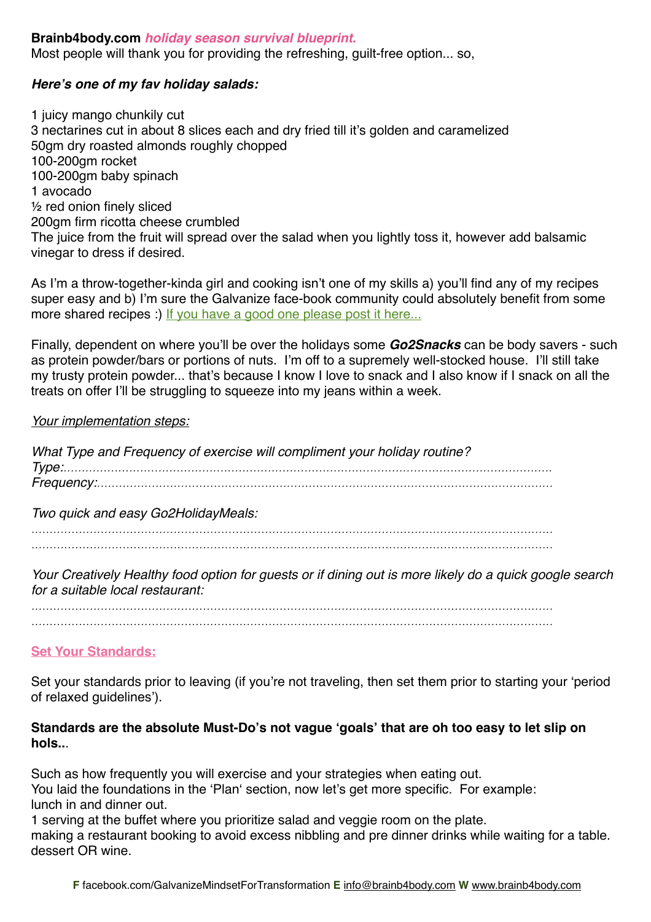## **Brainb4body.com** *holiday season survival blueprint.*

Most people will thank you for providing the refreshing, guilt-free option... so,

## *Here***'***s one of my fav holiday salads:*

1 juicy mango chunkily cut 3 nectarines cut in about 8 slices each and dry fried till it's golden and caramelized 50gm dry roasted almonds roughly chopped 100-200gm rocket 100-200gm baby spinach 1 avocado ½ red onion finely sliced 200gm firm ricotta cheese crumbled The juice from the fruit will spread over the salad when you lightly toss it, however add balsamic vinegar to dress if desired.

As I'm a throw-together-kinda girl and cooking isn't one of my skills a) you'll find any of my recipes super easy and b) I'm sure the Galvanize face-book community could absolutely benefit from some more shared recipes :) [If you have a good one please post it here...](http://www.facebook.com/GalvanizeMindsetForTransformation)

Finally, dependent on where you'll be over the holidays some *Go2Snacks* can be body savers - such as protein powder/bars or portions of nuts. I'm off to a supremely well-stocked house. I'll still take my trusty protein powder... that's because I know I love to snack and I also know if I snack on all the treats on offer I'll be struggling to squeeze into my jeans within a week.

#### *Your implementation steps:*

*What Type and Frequency of exercise will compliment your holiday routine? Type:...................................................................................................................................... Frequency:............................................................................................................................. Two quick and easy Go2HolidayMeals: ............................................................................................................................................... ...............................................................................................................................................*

*Your Creatively Healthy food option for guests or if dining out is more likely do a quick google search for a suitable local restaurant:*

*............................................................................................................................................... ...............................................................................................................................................*

## **Set Your Standards:**

Set your standards prior to leaving (if you're not traveling, then set them prior to starting your 'period of relaxed guidelines').

## **Standards are the absolute Must-Do's not vague ʻgoals' that are oh too easy to let slip on hols..**.

Such as how frequently you will exercise and your strategies when eating out. You laid the foundations in the ʻPlanʻ section, now let's get more specific. For example: lunch in and dinner out.

1 serving at the buffet where you prioritize salad and veggie room on the plate. making a restaurant booking to avoid excess nibbling and pre dinner drinks while waiting for a table. dessert OR wine.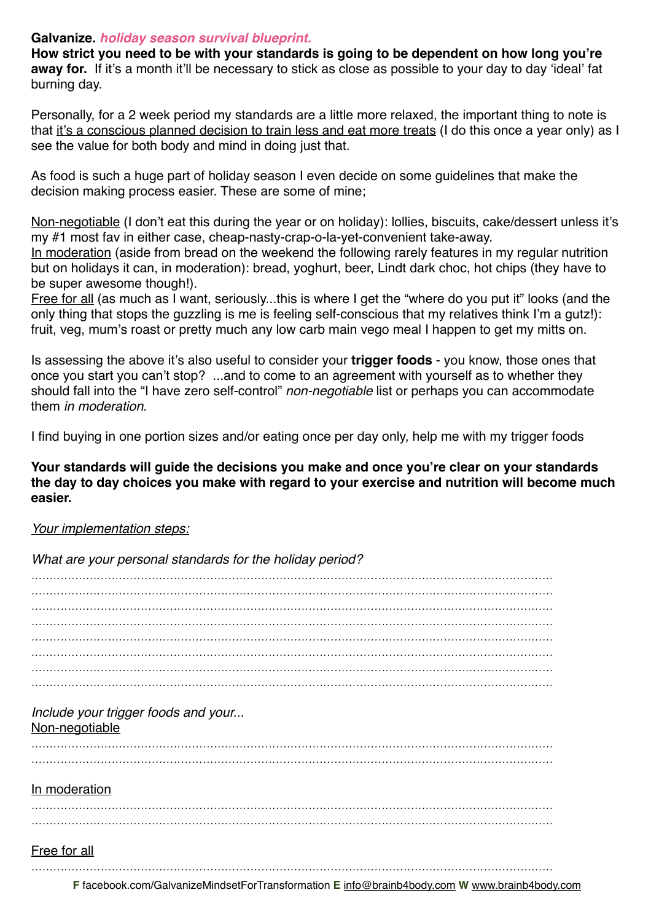**How strict you need to be with your standards is going to be dependent on how long you're away for.** If it's a month it'll be necessary to stick as close as possible to your day to day ʻideal' fat burning day.

Personally, for a 2 week period my standards are a little more relaxed, the important thing to note is that it's a conscious planned decision to train less and eat more treats (I do this once a year only) as I see the value for both body and mind in doing just that.

As food is such a huge part of holiday season I even decide on some guidelines that make the decision making process easier. These are some of mine;

Non-negotiable (I don't eat this during the year or on holiday): lollies, biscuits, cake/dessert unless it's my #1 most fav in either case, cheap-nasty-crap-o-la-yet-convenient take-away.

In moderation (aside from bread on the weekend the following rarely features in my regular nutrition but on holidays it can, in moderation): bread, yoghurt, beer, Lindt dark choc, hot chips (they have to be super awesome though!).

Free for all (as much as I want, seriously...this is where I get the "where do you put it" looks (and the only thing that stops the guzzling is me is feeling self-conscious that my relatives think I'm a gutz!): fruit, veg, mum's roast or pretty much any low carb main vego meal I happen to get my mitts on.

Is assessing the above it's also useful to consider your **trigger foods** - you know, those ones that once you start you can't stop? ...and to come to an agreement with yourself as to whether they should fall into the "I have zero self-control" *non-negotiable* list or perhaps you can accommodate them *in moderation*.

I find buying in one portion sizes and/or eating once per day only, help me with my trigger foods

**Your standards will guide the decisions you make and once you're clear on your standards the day to day choices you make with regard to your exercise and nutrition will become much easier.**

## *Your implementation steps:*

*What are your personal standards for the holiday period?*

*............................................................................................................................................... ............................................................................................................................................... ............................................................................................................................................... ............................................................................................................................................... ............................................................................................................................................... ............................................................................................................................................... ............................................................................................................................................... ...............................................................................................................................................*

#### *Include your trigger foods and your...* Non-negotiable

*............................................................................................................................................... ...............................................................................................................................................*

## In moderation

*............................................................................................................................................... ...............................................................................................................................................*

## Free for all

*...............................................................................................................................................*

**F** [facebook.com/GalvanizeMindsetForTransformation](http://www.facebook.com/GalvanizeMindsetForTransformation) **E** [info@brainb4body.com](mailto:info@brainb4body.com) **W** [www.brainb4body.com](http://www.brainb4body.com)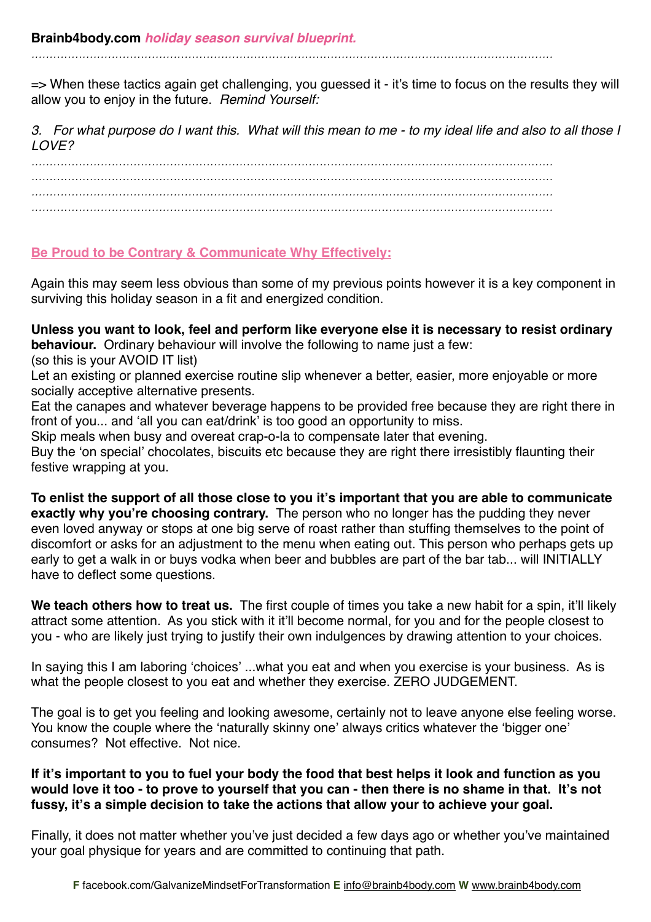*...............................................................................................................................................*

=> When these tactics again get challenging, you guessed it - it's time to focus on the results they will allow you to enjoy in the future. *Remind Yourself:*

*3. For what purpose do I want this. What will this mean to me - to my ideal life and also to all those I LOVE?*

*............................................................................................................................................... ............................................................................................................................................... ............................................................................................................................................... ...............................................................................................................................................*

# **Be Proud to be Contrary & Communicate Why Effectively:**

Again this may seem less obvious than some of my previous points however it is a key component in surviving this holiday season in a fit and energized condition.

**Unless you want to look, feel and perform like everyone else it is necessary to resist ordinary behaviour.** Ordinary behaviour will involve the following to name just a few: (so this is your AVOID IT list)

Let an existing or planned exercise routine slip whenever a better, easier, more enjoyable or more socially acceptive alternative presents.

Eat the canapes and whatever beverage happens to be provided free because they are right there in front of you... and ʻall you can eat/drink' is too good an opportunity to miss.

Skip meals when busy and overeat crap-o-la to compensate later that evening.

Buy the ʻon special' chocolates, biscuits etc because they are right there irresistibly flaunting their festive wrapping at you.

**To enlist the support of all those close to you it's important that you are able to communicate exactly why you're choosing contrary.** The person who no longer has the pudding they never even loved anyway or stops at one big serve of roast rather than stuffing themselves to the point of discomfort or asks for an adjustment to the menu when eating out. This person who perhaps gets up early to get a walk in or buys vodka when beer and bubbles are part of the bar tab... will INITIALLY have to deflect some questions.

We teach others how to treat us. The first couple of times you take a new habit for a spin, it'll likely attract some attention. As you stick with it it'll become normal, for you and for the people closest to you - who are likely just trying to justify their own indulgences by drawing attention to your choices.

In saying this I am laboring ʻchoices' ...what you eat and when you exercise is your business. As is what the people closest to you eat and whether they exercise. ZERO JUDGEMENT.

The goal is to get you feeling and looking awesome, certainly not to leave anyone else feeling worse. You know the couple where the 'naturally skinny one' always critics whatever the 'bigger one' consumes? Not effective. Not nice.

# **If it's important to you to fuel your body the food that best helps it look and function as you would love it too - to prove to yourself that you can - then there is no shame in that. It's not fussy, it's a simple decision to take the actions that allow your to achieve your goal.**

Finally, it does not matter whether you've just decided a few days ago or whether you've maintained your goal physique for years and are committed to continuing that path.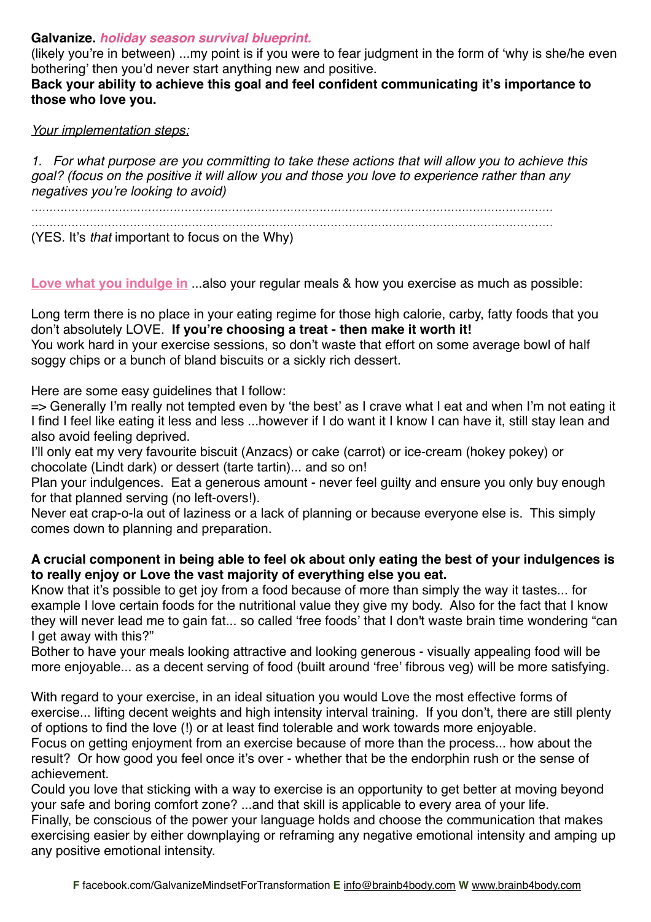(likely you're in between) ...my point is if you were to fear judgment in the form of ʻwhy is she/he even bothering' then you'd never start anything new and positive.

**Back your ability to achieve this goal and feel confident communicating it's importance to those who love you.**

#### *Your implementation steps:*

*1. For what purpose are you committing to take these actions that will allow you to achieve this goal? (focus on the positive it will allow you and those you love to experience rather than any negatives you*'*re looking to avoid)*

*............................................................................................................................................... ...............................................................................................................................................*

(YES. It's *that* important to focus on the Why)

**Love what you indulge in** ...also your regular meals & how you exercise as much as possible:

Long term there is no place in your eating regime for those high calorie, carby, fatty foods that you don't absolutely LOVE. **If you're choosing a treat - then make it worth it!** You work hard in your exercise sessions, so don't waste that effort on some average bowl of half soggy chips or a bunch of bland biscuits or a sickly rich dessert.

Here are some easy guidelines that I follow:

=> Generally I'm really not tempted even by ʻthe best' as I crave what I eat and when I'm not eating it I find I feel like eating it less and less ...however if I do want it I know I can have it, still stay lean and also avoid feeling deprived.

I'll only eat my very favourite biscuit (Anzacs) or cake (carrot) or ice-cream (hokey pokey) or chocolate (Lindt dark) or dessert (tarte tartin)... and so on!

Plan your indulgences. Eat a generous amount - never feel guilty and ensure you only buy enough for that planned serving (no left-overs!).

Never eat crap-o-la out of laziness or a lack of planning or because everyone else is. This simply comes down to planning and preparation.

## **A crucial component in being able to feel ok about only eating the best of your indulgences is to really enjoy or Love the vast majority of everything else you eat.**

Know that it's possible to get joy from a food because of more than simply the way it tastes... for example I love certain foods for the nutritional value they give my body. Also for the fact that I know they will never lead me to gain fat... so called ʻfree foods' that I don't waste brain time wondering "can I get away with this?"

Bother to have your meals looking attractive and looking generous - visually appealing food will be more enjoyable... as a decent serving of food (built around ʻfree' fibrous veg) will be more satisfying.

With regard to your exercise, in an ideal situation you would Love the most effective forms of exercise... lifting decent weights and high intensity interval training. If you don't, there are still plenty of options to find the love (!) or at least find tolerable and work towards more enjoyable.

Focus on getting enjoyment from an exercise because of more than the process... how about the result? Or how good you feel once it's over - whether that be the endorphin rush or the sense of achievement.

Could you love that sticking with a way to exercise is an opportunity to get better at moving beyond your safe and boring comfort zone? ...and that skill is applicable to every area of your life. Finally, be conscious of the power your language holds and choose the communication that makes exercising easier by either downplaying or reframing any negative emotional intensity and amping up any positive emotional intensity.